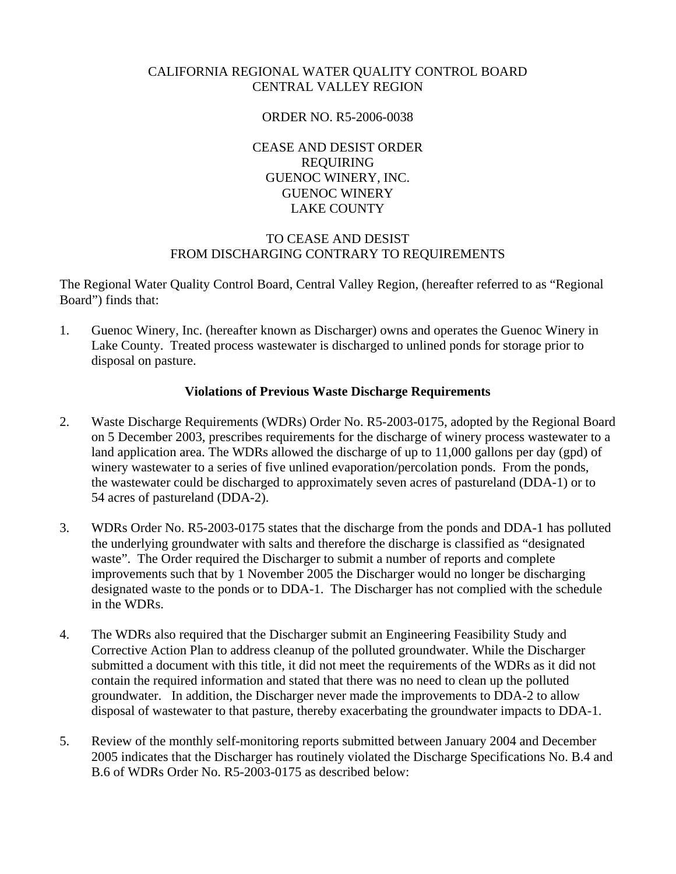## CALIFORNIA REGIONAL WATER QUALITY CONTROL BOARD CENTRAL VALLEY REGION

## ORDER NO. R5-2006-0038

CEASE AND DESIST ORDER REQUIRING GUENOC WINERY, INC. GUENOC WINERY LAKE COUNTY

## TO CEASE AND DESIST FROM DISCHARGING CONTRARY TO REQUIREMENTS

The Regional Water Quality Control Board, Central Valley Region, (hereafter referred to as "Regional Board") finds that:

1. Guenoc Winery, Inc. (hereafter known as Discharger) owns and operates the Guenoc Winery in Lake County. Treated process wastewater is discharged to unlined ponds for storage prior to disposal on pasture.

## **Violations of Previous Waste Discharge Requirements**

- 2. Waste Discharge Requirements (WDRs) Order No. R5-2003-0175, adopted by the Regional Board on 5 December 2003, prescribes requirements for the discharge of winery process wastewater to a land application area. The WDRs allowed the discharge of up to 11,000 gallons per day (gpd) of winery wastewater to a series of five unlined evaporation/percolation ponds. From the ponds, the wastewater could be discharged to approximately seven acres of pastureland (DDA-1) or to 54 acres of pastureland (DDA-2).
- 3. WDRs Order No. R5-2003-0175 states that the discharge from the ponds and DDA-1 has polluted the underlying groundwater with salts and therefore the discharge is classified as "designated waste". The Order required the Discharger to submit a number of reports and complete improvements such that by 1 November 2005 the Discharger would no longer be discharging designated waste to the ponds or to DDA-1. The Discharger has not complied with the schedule in the WDRs.
- 4. The WDRs also required that the Discharger submit an Engineering Feasibility Study and Corrective Action Plan to address cleanup of the polluted groundwater. While the Discharger submitted a document with this title, it did not meet the requirements of the WDRs as it did not contain the required information and stated that there was no need to clean up the polluted groundwater. In addition, the Discharger never made the improvements to DDA-2 to allow disposal of wastewater to that pasture, thereby exacerbating the groundwater impacts to DDA-1.
- 5. Review of the monthly self-monitoring reports submitted between January 2004 and December 2005 indicates that the Discharger has routinely violated the Discharge Specifications No. B.4 and B.6 of WDRs Order No. R5-2003-0175 as described below: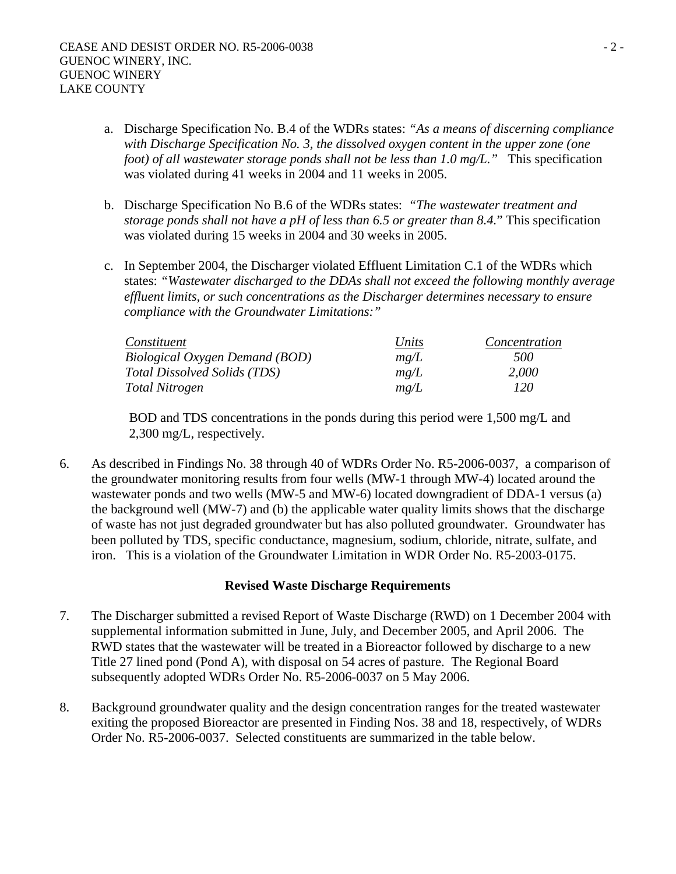- a. Discharge Specification No. B.4 of the WDRs states: *"As a means of discerning compliance with Discharge Specification No. 3, the dissolved oxygen content in the upper zone (one foot) of all wastewater storage ponds shall not be less than 1.0 mg/L."* This specification was violated during 41 weeks in 2004 and 11 weeks in 2005.
- b. Discharge Specification No B.6 of the WDRs states: *"The wastewater treatment and storage ponds shall not have a pH of less than 6.5 or greater than 8.4.*" This specification was violated during 15 weeks in 2004 and 30 weeks in 2005.
- c. In September 2004, the Discharger violated Effluent Limitation C.1 of the WDRs which states: *"Wastewater discharged to the DDAs shall not exceed the following monthly average effluent limits, or such concentrations as the Discharger determines necessary to ensure compliance with the Groundwater Limitations:"*

| Constituent                         | Units | Concentration |
|-------------------------------------|-------|---------------|
| Biological Oxygen Demand (BOD)      | mg/L  | 500           |
| <b>Total Dissolved Solids (TDS)</b> | me/L  | 2,000         |
| Total Nitrogen                      | me/L  | 120           |

 BOD and TDS concentrations in the ponds during this period were 1,500 mg/L and 2,300 mg/L, respectively.

6. As described in Findings No. 38 through 40 of WDRs Order No. R5-2006-0037, a comparison of the groundwater monitoring results from four wells (MW-1 through MW-4) located around the wastewater ponds and two wells (MW-5 and MW-6) located downgradient of DDA-1 versus (a) the background well (MW-7) and (b) the applicable water quality limits shows that the discharge of waste has not just degraded groundwater but has also polluted groundwater. Groundwater has been polluted by TDS, specific conductance, magnesium, sodium, chloride, nitrate, sulfate, and iron. This is a violation of the Groundwater Limitation in WDR Order No. R5-2003-0175.

## **Revised Waste Discharge Requirements**

- 7. The Discharger submitted a revised Report of Waste Discharge (RWD) on 1 December 2004 with supplemental information submitted in June, July, and December 2005, and April 2006. The RWD states that the wastewater will be treated in a Bioreactor followed by discharge to a new Title 27 lined pond (Pond A), with disposal on 54 acres of pasture. The Regional Board subsequently adopted WDRs Order No. R5-2006-0037 on 5 May 2006.
- 8. Background groundwater quality and the design concentration ranges for the treated wastewater exiting the proposed Bioreactor are presented in Finding Nos. 38 and 18, respectively, of WDRs Order No. R5-2006-0037. Selected constituents are summarized in the table below.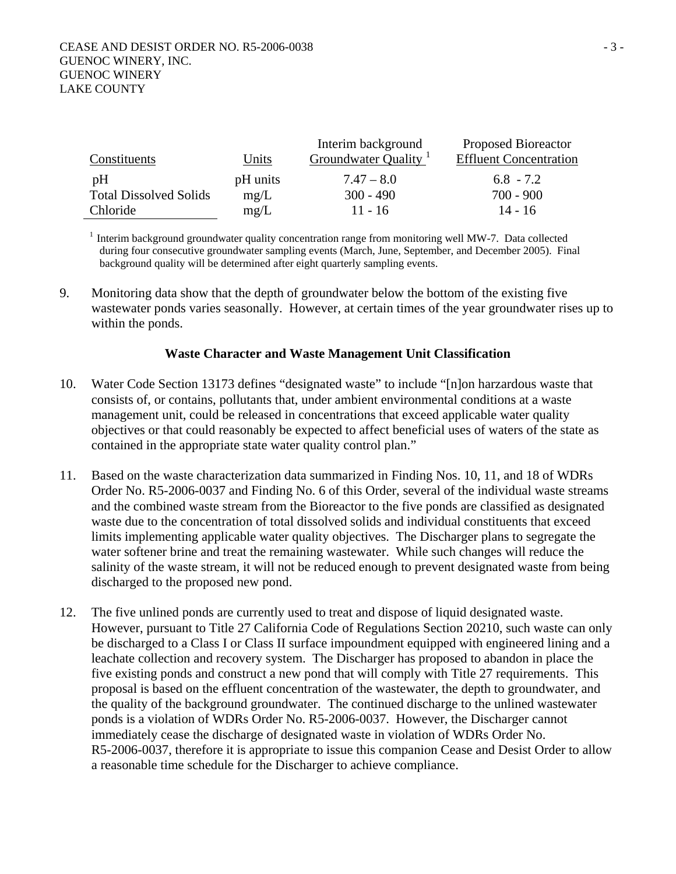| Constituents                        | Units            | Interim background<br>Groundwater Quality <sup>1</sup> | <b>Proposed Bioreactor</b><br><b>Effluent Concentration</b> |
|-------------------------------------|------------------|--------------------------------------------------------|-------------------------------------------------------------|
| pH<br><b>Total Dissolved Solids</b> | pH units<br>mg/L | $7.47 - 8.0$<br>$300 - 490$                            | $6.8 - 7.2$<br>$700 - 900$                                  |
| Chloride                            | mg/L             | $11 - 16$                                              | $14 - 16$                                                   |

 $1$  Interim background groundwater quality concentration range from monitoring well MW-7. Data collected during four consecutive groundwater sampling events (March, June, September, and December 2005). Final background quality will be determined after eight quarterly sampling events.

9. Monitoring data show that the depth of groundwater below the bottom of the existing five wastewater ponds varies seasonally. However, at certain times of the year groundwater rises up to within the ponds.

## **Waste Character and Waste Management Unit Classification**

- 10. Water Code Section 13173 defines "designated waste" to include "[n]on harzardous waste that consists of, or contains, pollutants that, under ambient environmental conditions at a waste management unit, could be released in concentrations that exceed applicable water quality objectives or that could reasonably be expected to affect beneficial uses of waters of the state as contained in the appropriate state water quality control plan."
- 11. Based on the waste characterization data summarized in Finding Nos. 10, 11, and 18 of WDRs Order No. R5-2006-0037 and Finding No. 6 of this Order, several of the individual waste streams and the combined waste stream from the Bioreactor to the five ponds are classified as designated waste due to the concentration of total dissolved solids and individual constituents that exceed limits implementing applicable water quality objectives. The Discharger plans to segregate the water softener brine and treat the remaining wastewater. While such changes will reduce the salinity of the waste stream, it will not be reduced enough to prevent designated waste from being discharged to the proposed new pond.
- 12. The five unlined ponds are currently used to treat and dispose of liquid designated waste. However, pursuant to Title 27 California Code of Regulations Section 20210, such waste can only be discharged to a Class I or Class II surface impoundment equipped with engineered lining and a leachate collection and recovery system. The Discharger has proposed to abandon in place the five existing ponds and construct a new pond that will comply with Title 27 requirements. This proposal is based on the effluent concentration of the wastewater, the depth to groundwater, and the quality of the background groundwater. The continued discharge to the unlined wastewater ponds is a violation of WDRs Order No. R5-2006-0037. However, the Discharger cannot immediately cease the discharge of designated waste in violation of WDRs Order No. R5-2006-0037, therefore it is appropriate to issue this companion Cease and Desist Order to allow a reasonable time schedule for the Discharger to achieve compliance.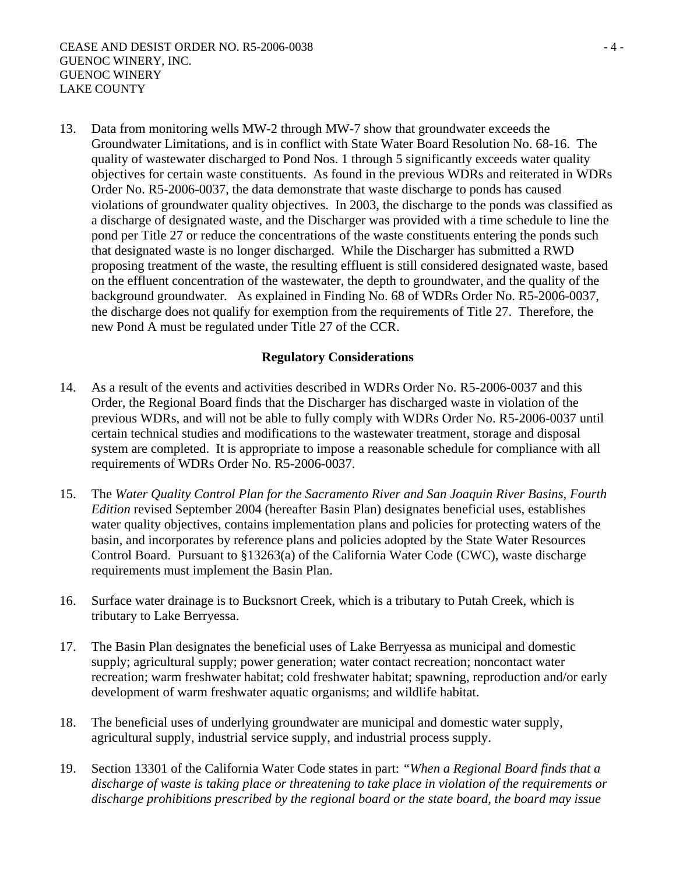13. Data from monitoring wells MW-2 through MW-7 show that groundwater exceeds the Groundwater Limitations, and is in conflict with State Water Board Resolution No. 68-16. The quality of wastewater discharged to Pond Nos. 1 through 5 significantly exceeds water quality objectives for certain waste constituents. As found in the previous WDRs and reiterated in WDRs Order No. R5-2006-0037, the data demonstrate that waste discharge to ponds has caused violations of groundwater quality objectives. In 2003, the discharge to the ponds was classified as a discharge of designated waste, and the Discharger was provided with a time schedule to line the pond per Title 27 or reduce the concentrations of the waste constituents entering the ponds such that designated waste is no longer discharged. While the Discharger has submitted a RWD proposing treatment of the waste, the resulting effluent is still considered designated waste, based on the effluent concentration of the wastewater, the depth to groundwater, and the quality of the background groundwater*.* As explained in Finding No. 68 of WDRs Order No. R5-2006-0037, the discharge does not qualify for exemption from the requirements of Title 27. Therefore, the new Pond A must be regulated under Title 27 of the CCR.

## **Regulatory Considerations**

- 14. As a result of the events and activities described in WDRs Order No. R5-2006-0037 and this Order, the Regional Board finds that the Discharger has discharged waste in violation of the previous WDRs, and will not be able to fully comply with WDRs Order No. R5-2006-0037 until certain technical studies and modifications to the wastewater treatment, storage and disposal system are completed. It is appropriate to impose a reasonable schedule for compliance with all requirements of WDRs Order No. R5-2006-0037.
- 15. The *Water Quality Control Plan for the Sacramento River and San Joaquin River Basins, Fourth Edition* revised September 2004 (hereafter Basin Plan) designates beneficial uses, establishes water quality objectives, contains implementation plans and policies for protecting waters of the basin, and incorporates by reference plans and policies adopted by the State Water Resources Control Board. Pursuant to §13263(a) of the California Water Code (CWC), waste discharge requirements must implement the Basin Plan.
- 16. Surface water drainage is to Bucksnort Creek, which is a tributary to Putah Creek, which is tributary to Lake Berryessa.
- 17. The Basin Plan designates the beneficial uses of Lake Berryessa as municipal and domestic supply; agricultural supply; power generation; water contact recreation; noncontact water recreation; warm freshwater habitat; cold freshwater habitat; spawning, reproduction and/or early development of warm freshwater aquatic organisms; and wildlife habitat.
- 18. The beneficial uses of underlying groundwater are municipal and domestic water supply, agricultural supply, industrial service supply, and industrial process supply.
- 19. Section 13301 of the California Water Code states in part: *"When a Regional Board finds that a discharge of waste is taking place or threatening to take place in violation of the requirements or discharge prohibitions prescribed by the regional board or the state board, the board may issue*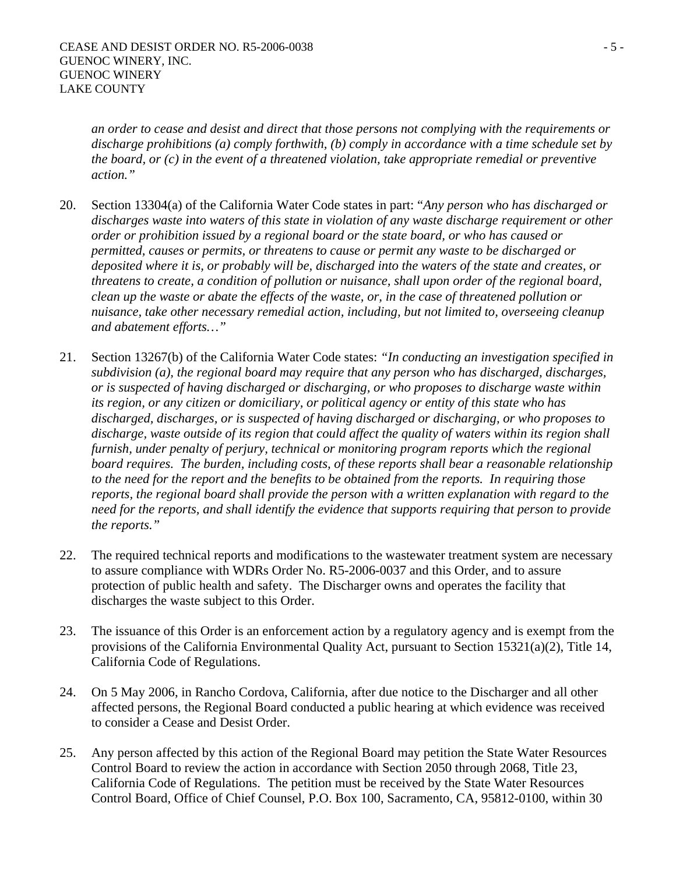*an order to cease and desist and direct that those persons not complying with the requirements or discharge prohibitions (a) comply forthwith, (b) comply in accordance with a time schedule set by the board, or (c) in the event of a threatened violation, take appropriate remedial or preventive action."* 

- 20. Section 13304(a) of the California Water Code states in part: "*Any person who has discharged or discharges waste into waters of this state in violation of any waste discharge requirement or other order or prohibition issued by a regional board or the state board, or who has caused or permitted, causes or permits, or threatens to cause or permit any waste to be discharged or deposited where it is, or probably will be, discharged into the waters of the state and creates, or threatens to create, a condition of pollution or nuisance, shall upon order of the regional board, clean up the waste or abate the effects of the waste, or, in the case of threatened pollution or nuisance, take other necessary remedial action, including, but not limited to, overseeing cleanup and abatement efforts…"*
- 21. Section 13267(b) of the California Water Code states: *"In conducting an investigation specified in subdivision (a), the regional board may require that any person who has discharged, discharges, or is suspected of having discharged or discharging, or who proposes to discharge waste within its region, or any citizen or domiciliary, or political agency or entity of this state who has discharged, discharges, or is suspected of having discharged or discharging, or who proposes to discharge, waste outside of its region that could affect the quality of waters within its region shall furnish, under penalty of perjury, technical or monitoring program reports which the regional board requires. The burden, including costs, of these reports shall bear a reasonable relationship to the need for the report and the benefits to be obtained from the reports. In requiring those reports, the regional board shall provide the person with a written explanation with regard to the need for the reports, and shall identify the evidence that supports requiring that person to provide the reports."*
- 22. The required technical reports and modifications to the wastewater treatment system are necessary to assure compliance with WDRs Order No. R5-2006-0037 and this Order, and to assure protection of public health and safety. The Discharger owns and operates the facility that discharges the waste subject to this Order.
- 23. The issuance of this Order is an enforcement action by a regulatory agency and is exempt from the provisions of the California Environmental Quality Act, pursuant to Section 15321(a)(2), Title 14, California Code of Regulations.
- 24. On 5 May 2006, in Rancho Cordova, California, after due notice to the Discharger and all other affected persons, the Regional Board conducted a public hearing at which evidence was received to consider a Cease and Desist Order.
- 25. Any person affected by this action of the Regional Board may petition the State Water Resources Control Board to review the action in accordance with Section 2050 through 2068, Title 23, California Code of Regulations. The petition must be received by the State Water Resources Control Board, Office of Chief Counsel, P.O. Box 100, Sacramento, CA, 95812-0100, within 30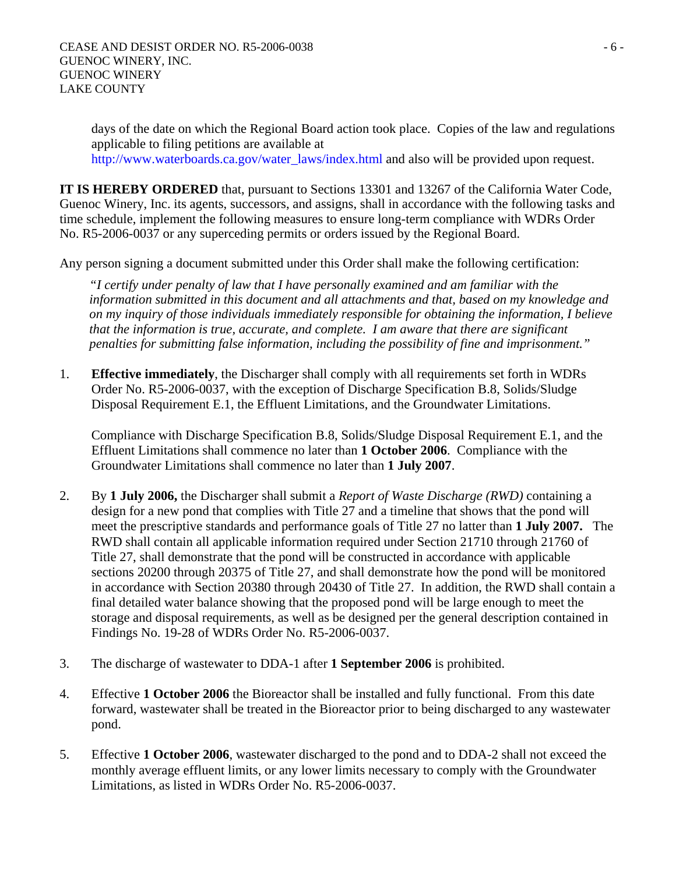days of the date on which the Regional Board action took place. Copies of the law and regulations applicable to filing petitions are available at http://www.waterboards.ca.gov/water\_laws/index.html and also will be provided upon request.

**IT IS HEREBY ORDERED** that, pursuant to Sections 13301 and 13267 of the California Water Code, Guenoc Winery, Inc. its agents, successors, and assigns, shall in accordance with the following tasks and time schedule, implement the following measures to ensure long-term compliance with WDRs Order No. R5-2006-0037 or any superceding permits or orders issued by the Regional Board.

Any person signing a document submitted under this Order shall make the following certification:

*"I certify under penalty of law that I have personally examined and am familiar with the information submitted in this document and all attachments and that, based on my knowledge and on my inquiry of those individuals immediately responsible for obtaining the information, I believe that the information is true, accurate, and complete. I am aware that there are significant penalties for submitting false information, including the possibility of fine and imprisonment."* 

1. **Effective immediately**, the Discharger shall comply with all requirements set forth in WDRs Order No. R5-2006-0037, with the exception of Discharge Specification B.8, Solids/Sludge Disposal Requirement E.1, the Effluent Limitations, and the Groundwater Limitations.

Compliance with Discharge Specification B.8, Solids/Sludge Disposal Requirement E.1, and the Effluent Limitations shall commence no later than **1 October 2006**. Compliance with the Groundwater Limitations shall commence no later than **1 July 2007**.

- 2. By **1 July 2006,** the Discharger shall submit a *Report of Waste Discharge (RWD)* containing a design for a new pond that complies with Title 27 and a timeline that shows that the pond will meet the prescriptive standards and performance goals of Title 27 no latter than **1 July 2007.** The RWD shall contain all applicable information required under Section 21710 through 21760 of Title 27, shall demonstrate that the pond will be constructed in accordance with applicable sections 20200 through 20375 of Title 27, and shall demonstrate how the pond will be monitored in accordance with Section 20380 through 20430 of Title 27. In addition, the RWD shall contain a final detailed water balance showing that the proposed pond will be large enough to meet the storage and disposal requirements, as well as be designed per the general description contained in Findings No. 19-28 of WDRs Order No. R5-2006-0037.
- 3. The discharge of wastewater to DDA-1 after **1 September 2006** is prohibited.
- 4. Effective **1 October 2006** the Bioreactor shall be installed and fully functional. From this date forward, wastewater shall be treated in the Bioreactor prior to being discharged to any wastewater pond.
- 5. Effective **1 October 2006**, wastewater discharged to the pond and to DDA-2 shall not exceed the monthly average effluent limits, or any lower limits necessary to comply with the Groundwater Limitations, as listed in WDRs Order No. R5-2006-0037.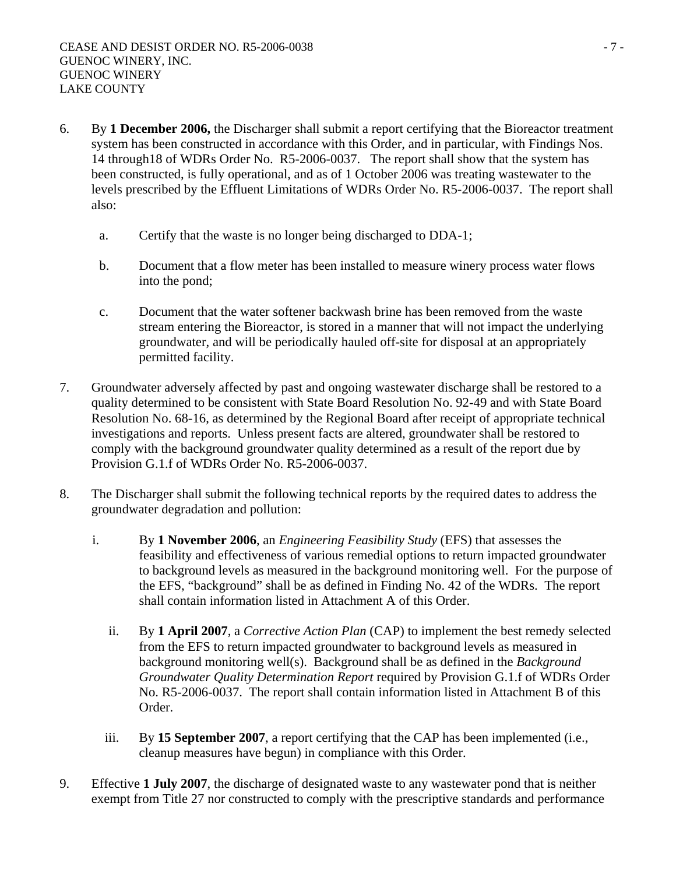- 6. By **1 December 2006,** the Discharger shall submit a report certifying that the Bioreactor treatment system has been constructed in accordance with this Order, and in particular, with Findings Nos. 14 through18 of WDRs Order No. R5-2006-0037. The report shall show that the system has been constructed, is fully operational, and as of 1 October 2006 was treating wastewater to the levels prescribed by the Effluent Limitations of WDRs Order No. R5-2006-0037. The report shall also:
	- a. Certify that the waste is no longer being discharged to DDA-1;
	- b. Document that a flow meter has been installed to measure winery process water flows into the pond;
	- c. Document that the water softener backwash brine has been removed from the waste stream entering the Bioreactor, is stored in a manner that will not impact the underlying groundwater, and will be periodically hauled off-site for disposal at an appropriately permitted facility.
- 7. Groundwater adversely affected by past and ongoing wastewater discharge shall be restored to a quality determined to be consistent with State Board Resolution No. 92-49 and with State Board Resolution No. 68-16, as determined by the Regional Board after receipt of appropriate technical investigations and reports. Unless present facts are altered, groundwater shall be restored to comply with the background groundwater quality determined as a result of the report due by Provision G.1.f of WDRs Order No. R5-2006-0037.
- 8. The Discharger shall submit the following technical reports by the required dates to address the groundwater degradation and pollution:
	- i. By **1 November 2006**, an *Engineering Feasibility Study* (EFS) that assesses the feasibility and effectiveness of various remedial options to return impacted groundwater to background levels as measured in the background monitoring well. For the purpose of the EFS, "background" shall be as defined in Finding No. 42 of the WDRs. The report shall contain information listed in Attachment A of this Order.
		- ii. By **1 April 2007**, a *Corrective Action Plan* (CAP) to implement the best remedy selected from the EFS to return impacted groundwater to background levels as measured in background monitoring well(s). Background shall be as defined in the *Background Groundwater Quality Determination Report* required by Provision G.1.f of WDRs Order No. R5-2006-0037. The report shall contain information listed in Attachment B of this Order.
		- iii. By **15 September 2007**, a report certifying that the CAP has been implemented (i.e., cleanup measures have begun) in compliance with this Order.
- 9. Effective **1 July 2007**, the discharge of designated waste to any wastewater pond that is neither exempt from Title 27 nor constructed to comply with the prescriptive standards and performance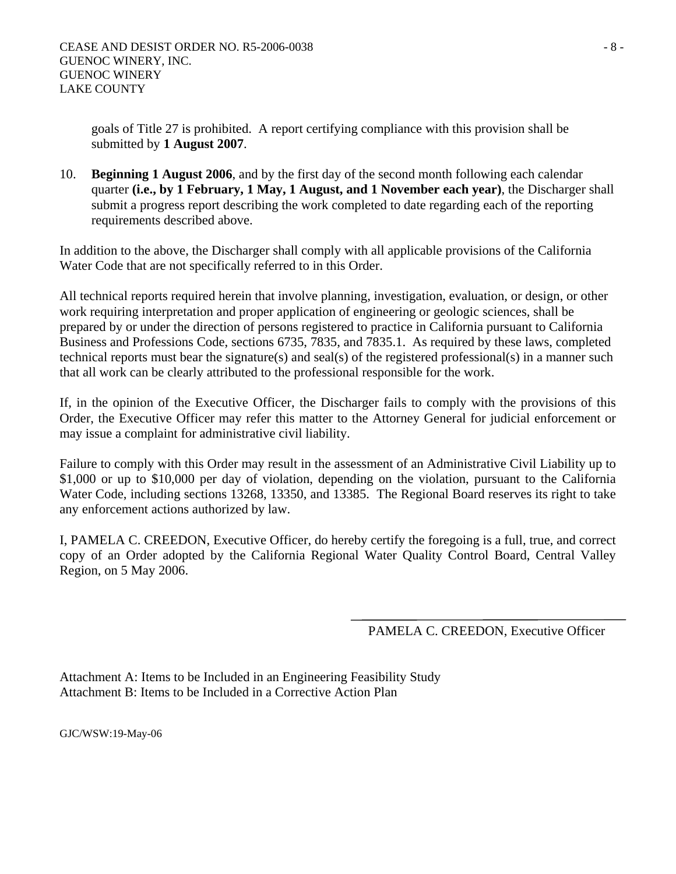goals of Title 27 is prohibited. A report certifying compliance with this provision shall be submitted by **1 August 2007**.

10. **Beginning 1 August 2006**, and by the first day of the second month following each calendar quarter **(i.e., by 1 February, 1 May, 1 August, and 1 November each year)**, the Discharger shall submit a progress report describing the work completed to date regarding each of the reporting requirements described above.

In addition to the above, the Discharger shall comply with all applicable provisions of the California Water Code that are not specifically referred to in this Order.

All technical reports required herein that involve planning, investigation, evaluation, or design, or other work requiring interpretation and proper application of engineering or geologic sciences, shall be prepared by or under the direction of persons registered to practice in California pursuant to California Business and Professions Code, sections 6735, 7835, and 7835.1. As required by these laws, completed technical reports must bear the signature(s) and seal(s) of the registered professional(s) in a manner such that all work can be clearly attributed to the professional responsible for the work.

If, in the opinion of the Executive Officer, the Discharger fails to comply with the provisions of this Order, the Executive Officer may refer this matter to the Attorney General for judicial enforcement or may issue a complaint for administrative civil liability.

Failure to comply with this Order may result in the assessment of an Administrative Civil Liability up to \$1,000 or up to \$10,000 per day of violation, depending on the violation, pursuant to the California Water Code, including sections 13268, 13350, and 13385. The Regional Board reserves its right to take any enforcement actions authorized by law.

I, PAMELA C. CREEDON, Executive Officer, do hereby certify the foregoing is a full, true, and correct copy of an Order adopted by the California Regional Water Quality Control Board, Central Valley Region, on 5 May 2006.

PAMELA C. CREEDON, Executive Officer

Attachment A: Items to be Included in an Engineering Feasibility Study Attachment B: Items to be Included in a Corrective Action Plan

GJC/WSW:19-May-06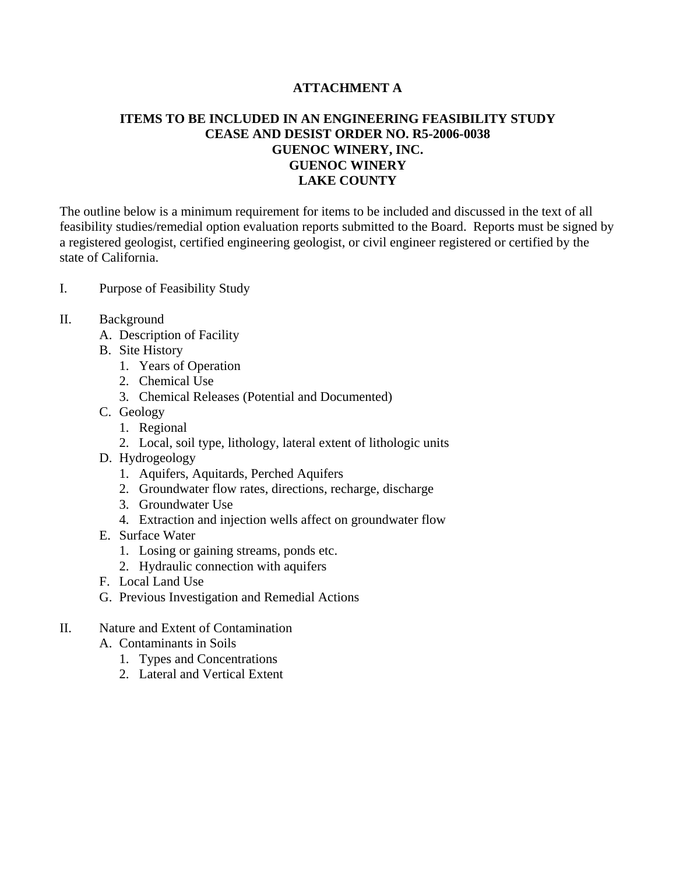# **ATTACHMENT A**

# **ITEMS TO BE INCLUDED IN AN ENGINEERING FEASIBILITY STUDY CEASE AND DESIST ORDER NO. R5-2006-0038 GUENOC WINERY, INC. GUENOC WINERY LAKE COUNTY**

The outline below is a minimum requirement for items to be included and discussed in the text of all feasibility studies/remedial option evaluation reports submitted to the Board. Reports must be signed by a registered geologist, certified engineering geologist, or civil engineer registered or certified by the state of California.

- I. Purpose of Feasibility Study
- II. Background
	- A. Description of Facility
	- B. Site History
		- 1. Years of Operation
		- 2. Chemical Use
		- 3. Chemical Releases (Potential and Documented)
	- C. Geology
		- 1. Regional
		- 2. Local, soil type, lithology, lateral extent of lithologic units
	- D. Hydrogeology
		- 1. Aquifers, Aquitards, Perched Aquifers
		- 2. Groundwater flow rates, directions, recharge, discharge
		- 3. Groundwater Use
		- 4. Extraction and injection wells affect on groundwater flow
	- E. Surface Water
		- 1. Losing or gaining streams, ponds etc.
		- 2. Hydraulic connection with aquifers
	- F. Local Land Use
	- G. Previous Investigation and Remedial Actions
- II. Nature and Extent of Contamination
	- A. Contaminants in Soils
		- 1. Types and Concentrations
		- 2. Lateral and Vertical Extent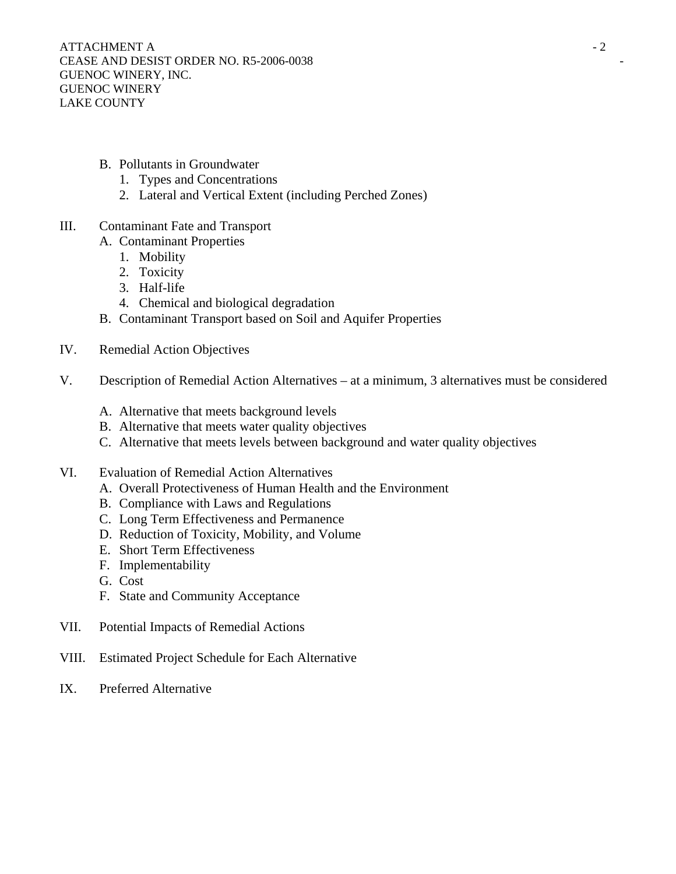- B. Pollutants in Groundwater
	- 1. Types and Concentrations
	- 2. Lateral and Vertical Extent (including Perched Zones)
- III. Contaminant Fate and Transport
	- A. Contaminant Properties
		- 1. Mobility
		- 2. Toxicity
		- 3. Half-life
		- 4. Chemical and biological degradation
	- B. Contaminant Transport based on Soil and Aquifer Properties
- IV. Remedial Action Objectives
- V. Description of Remedial Action Alternatives at a minimum, 3 alternatives must be considered
	- A. Alternative that meets background levels
	- B. Alternative that meets water quality objectives
	- C. Alternative that meets levels between background and water quality objectives
- VI. Evaluation of Remedial Action Alternatives
	- A. Overall Protectiveness of Human Health and the Environment
	- B. Compliance with Laws and Regulations
	- C. Long Term Effectiveness and Permanence
	- D. Reduction of Toxicity, Mobility, and Volume
	- E. Short Term Effectiveness
	- F. Implementability
	- G. Cost
	- F. State and Community Acceptance
- VII. Potential Impacts of Remedial Actions
- VIII. Estimated Project Schedule for Each Alternative
- IX. Preferred Alternative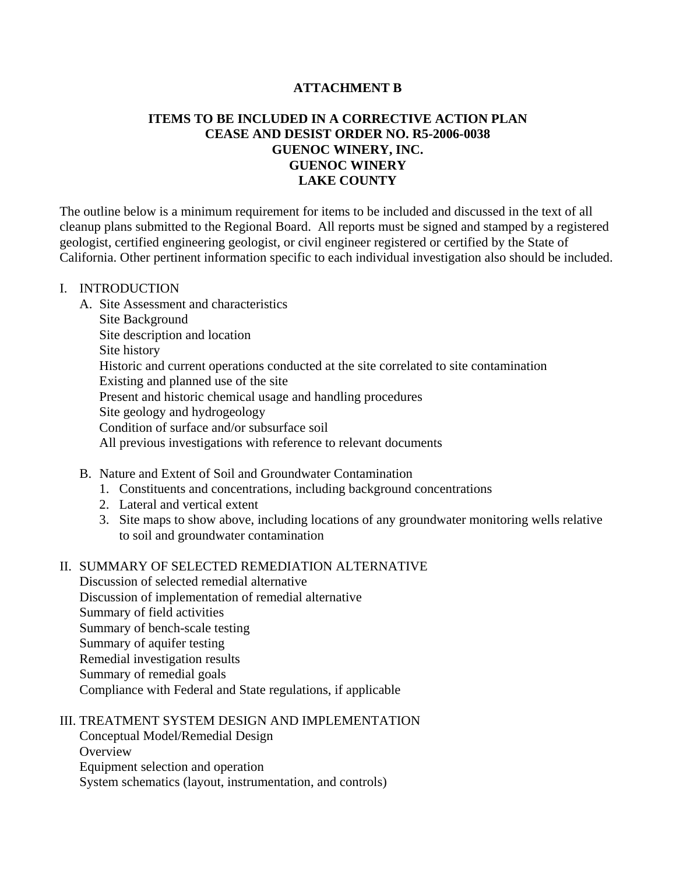## **ATTACHMENT B**

# **ITEMS TO BE INCLUDED IN A CORRECTIVE ACTION PLAN CEASE AND DESIST ORDER NO. R5-2006-0038 GUENOC WINERY, INC. GUENOC WINERY LAKE COUNTY**

The outline below is a minimum requirement for items to be included and discussed in the text of all cleanup plans submitted to the Regional Board. All reports must be signed and stamped by a registered geologist, certified engineering geologist, or civil engineer registered or certified by the State of California. Other pertinent information specific to each individual investigation also should be included.

#### I. INTRODUCTION

- A. Site Assessment and characteristics Site Background Site description and location Site history Historic and current operations conducted at the site correlated to site contamination Existing and planned use of the site Present and historic chemical usage and handling procedures Site geology and hydrogeology Condition of surface and/or subsurface soil All previous investigations with reference to relevant documents
- B. Nature and Extent of Soil and Groundwater Contamination
	- 1. Constituents and concentrations, including background concentrations
	- 2. Lateral and vertical extent
	- 3. Site maps to show above, including locations of any groundwater monitoring wells relative to soil and groundwater contamination

## II. SUMMARY OF SELECTED REMEDIATION ALTERNATIVE

 Discussion of selected remedial alternative Discussion of implementation of remedial alternative Summary of field activities Summary of bench-scale testing Summary of aquifer testing Remedial investigation results Summary of remedial goals Compliance with Federal and State regulations, if applicable

#### III. TREATMENT SYSTEM DESIGN AND IMPLEMENTATION

 Conceptual Model/Remedial Design **Overview** 

Equipment selection and operation

System schematics (layout, instrumentation, and controls)